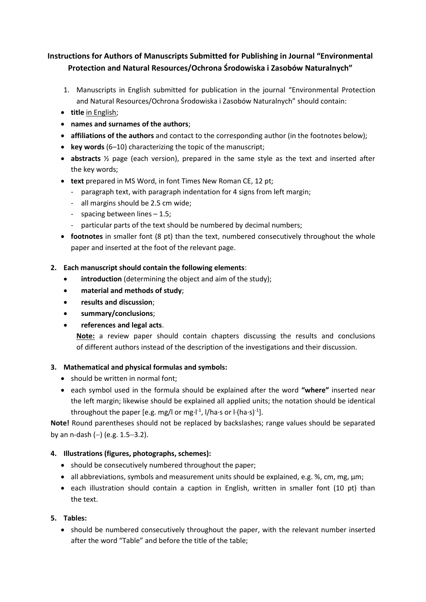# **Instructions for Authors of Manuscripts Submitted for Publishing in Journal "Environmental Protection and Natural Resources/Ochrona Środowiska i Zasobów Naturalnych"**

- 1. Manuscripts in English submitted for publication in the journal "Environmental Protection and Natural Resources/Ochrona Środowiska i Zasobów Naturalnych" should contain:
- **title** in English;
- **names and surnames of the authors**;
- **affiliations of the authors** and contact to the corresponding author (in the footnotes below);
- **key words** (6–10) characterizing the topic of the manuscript;
- **abstracts** ½ page (each version), prepared in the same style as the text and inserted after the key words;
- **text** prepared in MS Word, in font Times New Roman CE, 12 pt;
	- paragraph text, with paragraph indentation for 4 signs from left margin;
	- all margins should be 2.5 cm wide;
	- spacing between lines 1.5;
	- particular parts of the text should be numbered by decimal numbers;
- **footnotes** in smaller font (8 pt) than the text, numbered consecutively throughout the whole paper and inserted at the foot of the relevant page.

## **2. Each manuscript should contain the following elements**:

- **introduction** (determining the object and aim of the study);
- **material and methods of study**;
- **results and discussion**;
- **summary/conclusions**;
- **references and legal acts**.

**Note:** a review paper should contain chapters discussing the results and conclusions of different authors instead of the description of the investigations and their discussion.

## **3. Mathematical and physical formulas and symbols:**

- should be written in normal font;
- each symbol used in the formula should be explained after the word **"where"** inserted near the left margin; likewise should be explained all applied units; the notation should be identical throughout the paper [e.g. mg/l or mg∙l<sup>-1</sup>, l/ha∙s or l∙(ha∙s)<sup>-1</sup>].

**Note!** Round parentheses should not be replaced by backslashes; range values should be separated by an n-dash  $(-)$  (e.g. 1.5-3.2).

## **4. Illustrations (figures, photographs, schemes):**

- should be consecutively numbered throughout the paper;
- all abbreviations, symbols and measurement units should be explained, e.g. %, cm, mg,  $\mu$ m;
- each illustration should contain a caption in English, written in smaller font (10 pt) than the text.

## **5. Tables:**

• should be numbered consecutively throughout the paper, with the relevant number inserted after the word "Table" and before the title of the table;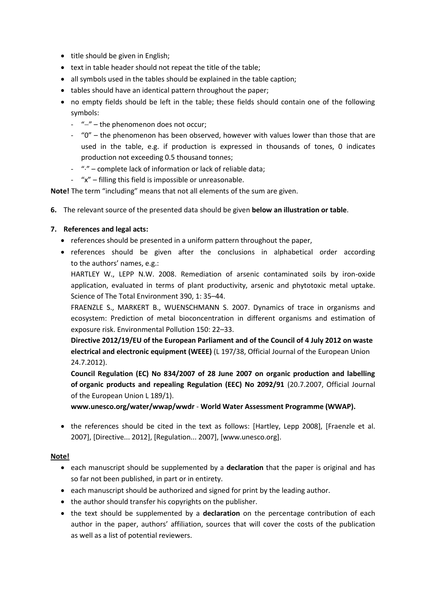- $\bullet$  title should be given in English;
- text in table header should not repeat the title of the table;
- all symbols used in the tables should be explained in the table caption;
- tables should have an identical pattern throughout the paper;
- no empty fields should be left in the table; these fields should contain one of the following symbols:
	- $-$  " $-$ " the phenomenon does not occur;
	- "0" the phenomenon has been observed, however with values lower than those that are used in the table, e.g. if production is expressed in thousands of tones, 0 indicates production not exceeding 0.5 thousand tonnes;
	- "." complete lack of information or lack of reliable data;
	- "x" filling this field is impossible or unreasonable.

**Note!** The term "including" means that not all elements of the sum are given.

**6.** The relevant source of the presented data should be given **below an illustration or table**.

### **7. References and legal acts:**

- references should be presented in a uniform pattern throughout the paper,
- references should be given after the conclusions in alphabetical order according to the authors' names, e.g.:

HARTLEY W., LEPP N.W. 2008. Remediation of arsenic contaminated soils by iron-oxide application, evaluated in terms of plant productivity, arsenic and phytotoxic metal uptake. Science of The Total Environment 390, 1: 35–44.

FRAENZLE S., MARKERT B., WUENSCHMANN S. 2007. Dynamics of trace in organisms and ecosystem: Prediction of metal bioconcentration in different organisms and estimation of exposure risk. Environmental Pollution 150: 22–33.

**Directive 2012/19/EU of the European Parliament and of the Council of 4 July 2012 on waste electrical and electronic equipment (WEEE)** (L 197/38, Official Journal of the European Union 24.7.2012).

**Council Regulation (EC) No 834/2007 of 28 June 2007 on organic production and labelling of organic products and repealing Regulation (EEC) No 2092/91** (20.7.2007, Official Journal of the European Union L 189/1).

**www.unesco.org/water/wwap/wwdr** - **World Water Assessment Programme (WWAP).**

• the references should be cited in the text as follows: [Hartley, Lepp 2008], [Fraenzle et al. 2007], [Directive... 2012], [Regulation... 2007], [www.unesco.org].

### **Note!**

- each manuscript should be supplemented by a **declaration** that the paper is original and has so far not been published, in part or in entirety.
- each manuscript should be authorized and signed for print by the leading author.
- the author should transfer his copyrights on the publisher.
- the text should be supplemented by a **declaration** on the percentage contribution of each author in the paper, authors' affiliation, sources that will cover the costs of the publication as well as a list of potential reviewers.